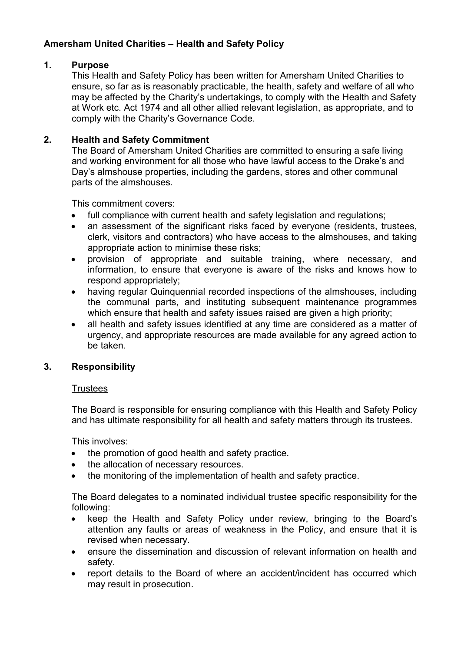# Amersham United Charities – Health and Safety Policy

# 1. Purpose

This Health and Safety Policy has been written for Amersham United Charities to ensure, so far as is reasonably practicable, the health, safety and welfare of all who may be affected by the Charity's undertakings, to comply with the Health and Safety at Work etc. Act 1974 and all other allied relevant legislation, as appropriate, and to comply with the Charity's Governance Code.

## 2. Health and Safety Commitment

The Board of Amersham United Charities are committed to ensuring a safe living and working environment for all those who have lawful access to the Drake's and Day's almshouse properties, including the gardens, stores and other communal parts of the almshouses.

This commitment covers:

- full compliance with current health and safety legislation and regulations;
- an assessment of the significant risks faced by everyone (residents, trustees, clerk, visitors and contractors) who have access to the almshouses, and taking appropriate action to minimise these risks;
- provision of appropriate and suitable training, where necessary, and information, to ensure that everyone is aware of the risks and knows how to respond appropriately;
- having regular Quinquennial recorded inspections of the almshouses, including the communal parts, and instituting subsequent maintenance programmes which ensure that health and safety issues raised are given a high priority;
- all health and safety issues identified at any time are considered as a matter of urgency, and appropriate resources are made available for any agreed action to be taken.

### 3. Responsibility

### **Trustees**

The Board is responsible for ensuring compliance with this Health and Safety Policy and has ultimate responsibility for all health and safety matters through its trustees.

This involves:

- the promotion of good health and safety practice.
- the allocation of necessary resources.
- the monitoring of the implementation of health and safety practice.

The Board delegates to a nominated individual trustee specific responsibility for the following:

- keep the Health and Safety Policy under review, bringing to the Board's attention any faults or areas of weakness in the Policy, and ensure that it is revised when necessary.
- ensure the dissemination and discussion of relevant information on health and safety.
- report details to the Board of where an accident/incident has occurred which may result in prosecution.